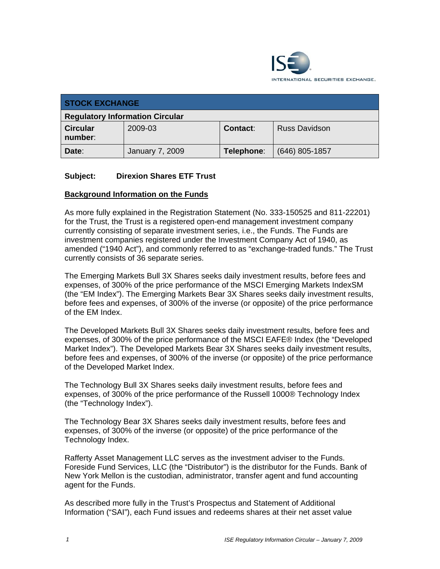

| <b>STOCK EXCHANGE</b>                  |                 |                 |                      |
|----------------------------------------|-----------------|-----------------|----------------------|
| <b>Regulatory Information Circular</b> |                 |                 |                      |
| <b>Circular</b><br>number:             | 2009-03         | <b>Contact:</b> | <b>Russ Davidson</b> |
| Date:                                  | January 7, 2009 | Telephone:      | (646) 805-1857       |

## **Subject: Direxion Shares ETF Trust**

#### **Background Information on the Funds**

As more fully explained in the Registration Statement (No. 333-150525 and 811-22201) for the Trust, the Trust is a registered open-end management investment company currently consisting of separate investment series, i.e., the Funds. The Funds are investment companies registered under the Investment Company Act of 1940, as amended ("1940 Act"), and commonly referred to as "exchange-traded funds." The Trust currently consists of 36 separate series.

The Emerging Markets Bull 3X Shares seeks daily investment results, before fees and expenses, of 300% of the price performance of the MSCI Emerging Markets IndexSM (the "EM Index"). The Emerging Markets Bear 3X Shares seeks daily investment results, before fees and expenses, of 300% of the inverse (or opposite) of the price performance of the EM Index.

The Developed Markets Bull 3X Shares seeks daily investment results, before fees and expenses, of 300% of the price performance of the MSCI EAFE® Index (the "Developed Market Index"). The Developed Markets Bear 3X Shares seeks daily investment results, before fees and expenses, of 300% of the inverse (or opposite) of the price performance of the Developed Market Index.

The Technology Bull 3X Shares seeks daily investment results, before fees and expenses, of 300% of the price performance of the Russell 1000® Technology Index (the "Technology Index").

The Technology Bear 3X Shares seeks daily investment results, before fees and expenses, of 300% of the inverse (or opposite) of the price performance of the Technology Index.

Rafferty Asset Management LLC serves as the investment adviser to the Funds. Foreside Fund Services, LLC (the "Distributor") is the distributor for the Funds. Bank of New York Mellon is the custodian, administrator, transfer agent and fund accounting agent for the Funds.

As described more fully in the Trust's Prospectus and Statement of Additional Information ("SAI"), each Fund issues and redeems shares at their net asset value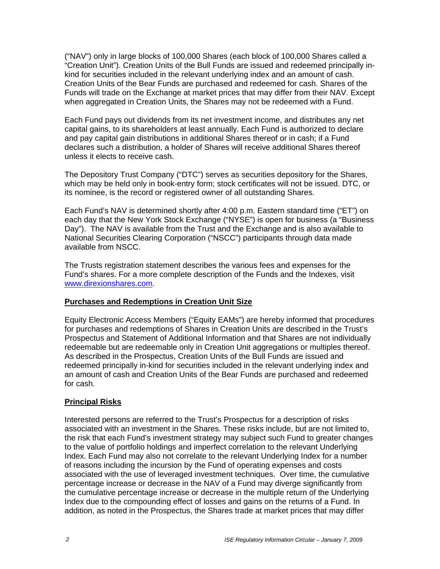("NAV") only in large blocks of 100,000 Shares (each block of 100,000 Shares called a "Creation Unit"). Creation Units of the Bull Funds are issued and redeemed principally inkind for securities included in the relevant underlying index and an amount of cash. Creation Units of the Bear Funds are purchased and redeemed for cash. Shares of the Funds will trade on the Exchange at market prices that may differ from their NAV. Except when aggregated in Creation Units, the Shares may not be redeemed with a Fund.

Each Fund pays out dividends from its net investment income, and distributes any net capital gains, to its shareholders at least annually. Each Fund is authorized to declare and pay capital gain distributions in additional Shares thereof or in cash; if a Fund declares such a distribution, a holder of Shares will receive additional Shares thereof unless it elects to receive cash.

The Depository Trust Company ("DTC") serves as securities depository for the Shares, which may be held only in book-entry form; stock certificates will not be issued. DTC, or its nominee, is the record or registered owner of all outstanding Shares.

Each Fund's NAV is determined shortly after 4:00 p.m. Eastern standard time ("ET") on each day that the New York Stock Exchange ("NYSE") is open for business (a "Business Day"). The NAV is available from the Trust and the Exchange and is also available to National Securities Clearing Corporation ("NSCC") participants through data made available from NSCC.

The Trusts registration statement describes the various fees and expenses for the Fund's shares. For a more complete description of the Funds and the Indexes, visit www.direxionshares.com.

## **Purchases and Redemptions in Creation Unit Size**

Equity Electronic Access Members ("Equity EAMs") are hereby informed that procedures for purchases and redemptions of Shares in Creation Units are described in the Trust's Prospectus and Statement of Additional Information and that Shares are not individually redeemable but are redeemable only in Creation Unit aggregations or multiples thereof. As described in the Prospectus, Creation Units of the Bull Funds are issued and redeemed principally in-kind for securities included in the relevant underlying index and an amount of cash and Creation Units of the Bear Funds are purchased and redeemed for cash.

## **Principal Risks**

Interested persons are referred to the Trust's Prospectus for a description of risks associated with an investment in the Shares. These risks include, but are not limited to, the risk that each Fund's investment strategy may subject such Fund to greater changes to the value of portfolio holdings and imperfect correlation to the relevant Underlying Index. Each Fund may also not correlate to the relevant Underlying Index for a number of reasons including the incursion by the Fund of operating expenses and costs associated with the use of leveraged investment techniques. Over time, the cumulative percentage increase or decrease in the NAV of a Fund may diverge significantly from the cumulative percentage increase or decrease in the multiple return of the Underlying Index due to the compounding effect of losses and gains on the returns of a Fund. In addition, as noted in the Prospectus, the Shares trade at market prices that may differ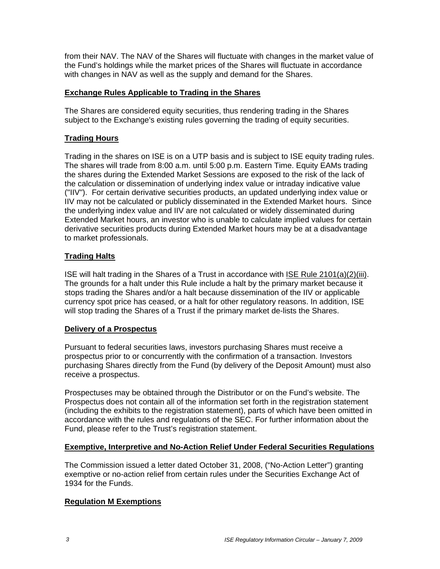from their NAV. The NAV of the Shares will fluctuate with changes in the market value of the Fund's holdings while the market prices of the Shares will fluctuate in accordance with changes in NAV as well as the supply and demand for the Shares.

## **Exchange Rules Applicable to Trading in the Shares**

The Shares are considered equity securities, thus rendering trading in the Shares subject to the Exchange's existing rules governing the trading of equity securities.

# **Trading Hours**

Trading in the shares on ISE is on a UTP basis and is subject to ISE equity trading rules. The shares will trade from 8:00 a.m. until 5:00 p.m. Eastern Time. Equity EAMs trading the shares during the Extended Market Sessions are exposed to the risk of the lack of the calculation or dissemination of underlying index value or intraday indicative value ("IIV"). For certain derivative securities products, an updated underlying index value or IIV may not be calculated or publicly disseminated in the Extended Market hours. Since the underlying index value and IIV are not calculated or widely disseminated during Extended Market hours, an investor who is unable to calculate implied values for certain derivative securities products during Extended Market hours may be at a disadvantage to market professionals.

## **Trading Halts**

ISE will halt trading in the Shares of a Trust in accordance with ISE Rule 2101(a)(2)(iii). The grounds for a halt under this Rule include a halt by the primary market because it stops trading the Shares and/or a halt because dissemination of the IIV or applicable currency spot price has ceased, or a halt for other regulatory reasons. In addition, ISE will stop trading the Shares of a Trust if the primary market de-lists the Shares.

## **Delivery of a Prospectus**

Pursuant to federal securities laws, investors purchasing Shares must receive a prospectus prior to or concurrently with the confirmation of a transaction. Investors purchasing Shares directly from the Fund (by delivery of the Deposit Amount) must also receive a prospectus.

Prospectuses may be obtained through the Distributor or on the Fund's website. The Prospectus does not contain all of the information set forth in the registration statement (including the exhibits to the registration statement), parts of which have been omitted in accordance with the rules and regulations of the SEC. For further information about the Fund, please refer to the Trust's registration statement.

## **Exemptive, Interpretive and No-Action Relief Under Federal Securities Regulations**

The Commission issued a letter dated October 31, 2008, ("No-Action Letter") granting exemptive or no-action relief from certain rules under the Securities Exchange Act of 1934 for the Funds.

## **Regulation M Exemptions**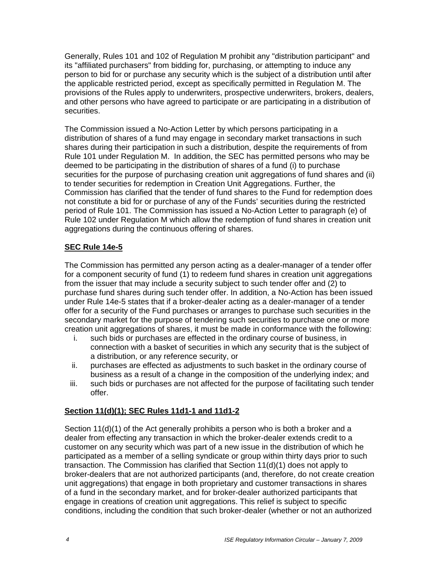Generally, Rules 101 and 102 of Regulation M prohibit any "distribution participant" and its "affiliated purchasers" from bidding for, purchasing, or attempting to induce any person to bid for or purchase any security which is the subject of a distribution until after the applicable restricted period, except as specifically permitted in Regulation M. The provisions of the Rules apply to underwriters, prospective underwriters, brokers, dealers, and other persons who have agreed to participate or are participating in a distribution of securities.

The Commission issued a No-Action Letter by which persons participating in a distribution of shares of a fund may engage in secondary market transactions in such shares during their participation in such a distribution, despite the requirements of from Rule 101 under Regulation M. In addition, the SEC has permitted persons who may be deemed to be participating in the distribution of shares of a fund (i) to purchase securities for the purpose of purchasing creation unit aggregations of fund shares and (ii) to tender securities for redemption in Creation Unit Aggregations. Further, the Commission has clarified that the tender of fund shares to the Fund for redemption does not constitute a bid for or purchase of any of the Funds' securities during the restricted period of Rule 101. The Commission has issued a No-Action Letter to paragraph (e) of Rule 102 under Regulation M which allow the redemption of fund shares in creation unit aggregations during the continuous offering of shares.

# **SEC Rule 14e-5**

The Commission has permitted any person acting as a dealer-manager of a tender offer for a component security of fund (1) to redeem fund shares in creation unit aggregations from the issuer that may include a security subject to such tender offer and (2) to purchase fund shares during such tender offer. In addition, a No-Action has been issued under Rule 14e-5 states that if a broker-dealer acting as a dealer-manager of a tender offer for a security of the Fund purchases or arranges to purchase such securities in the secondary market for the purpose of tendering such securities to purchase one or more creation unit aggregations of shares, it must be made in conformance with the following:

- i. such bids or purchases are effected in the ordinary course of business, in connection with a basket of securities in which any security that is the subject of a distribution, or any reference security, or
- ii. purchases are effected as adjustments to such basket in the ordinary course of business as a result of a change in the composition of the underlying index; and
- iii. such bids or purchases are not affected for the purpose of facilitating such tender offer.

# **Section 11(d)(1); SEC Rules 11d1-1 and 11d1-2**

Section 11(d)(1) of the Act generally prohibits a person who is both a broker and a dealer from effecting any transaction in which the broker-dealer extends credit to a customer on any security which was part of a new issue in the distribution of which he participated as a member of a selling syndicate or group within thirty days prior to such transaction. The Commission has clarified that Section 11(d)(1) does not apply to broker-dealers that are not authorized participants (and, therefore, do not create creation unit aggregations) that engage in both proprietary and customer transactions in shares of a fund in the secondary market, and for broker-dealer authorized participants that engage in creations of creation unit aggregations. This relief is subject to specific conditions, including the condition that such broker-dealer (whether or not an authorized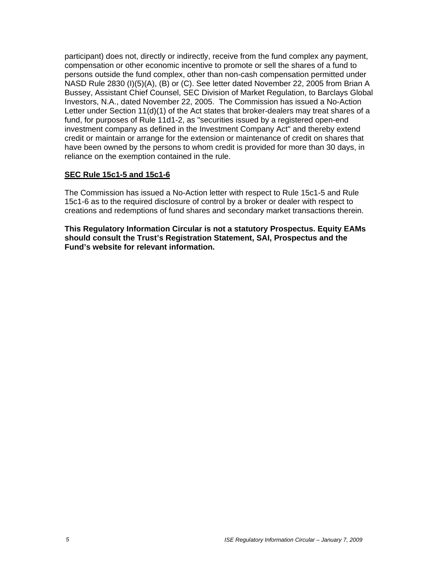participant) does not, directly or indirectly, receive from the fund complex any payment, compensation or other economic incentive to promote or sell the shares of a fund to persons outside the fund complex, other than non-cash compensation permitted under NASD Rule 2830 (I)(5)(A), (B) or (C). See letter dated November 22, 2005 from Brian A Bussey, Assistant Chief Counsel, SEC Division of Market Regulation, to Barclays Global Investors, N.A., dated November 22, 2005. The Commission has issued a No-Action Letter under Section 11(d)(1) of the Act states that broker-dealers may treat shares of a fund, for purposes of Rule 11d1-2, as "securities issued by a registered open-end investment company as defined in the Investment Company Act" and thereby extend credit or maintain or arrange for the extension or maintenance of credit on shares that have been owned by the persons to whom credit is provided for more than 30 days, in reliance on the exemption contained in the rule.

## **SEC Rule 15c1-5 and 15c1-6**

The Commission has issued a No-Action letter with respect to Rule 15c1-5 and Rule 15c1-6 as to the required disclosure of control by a broker or dealer with respect to creations and redemptions of fund shares and secondary market transactions therein.

**This Regulatory Information Circular is not a statutory Prospectus. Equity EAMs should consult the Trust's Registration Statement, SAI, Prospectus and the Fund's website for relevant information.**